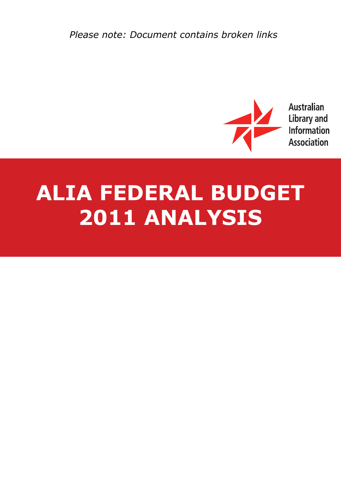*Please note: Document contains broken links*



**Australian Library and** Information **Association** 

# **ALIA FEDERAL BUDGET 2011 ANALYSIS**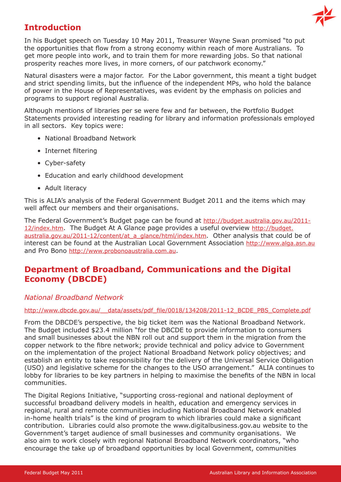

# **Introduction**

In his Budget speech on Tuesday 10 May 2011, Treasurer Wayne Swan promised "to put the opportunities that flow from a strong economy within reach of more Australians. To get more people into work, and to train them for more rewarding jobs. So that national prosperity reaches more lives, in more corners, of our patchwork economy."

Natural disasters were a major factor. For the Labor government, this meant a tight budget and strict spending limits, but the influence of the independent MPs, who hold the balance of power in the House of Representatives, was evident by the emphasis on policies and programs to support regional Australia.

Although mentions of libraries per se were few and far between, the Portfolio Budget Statements provided interesting reading for library and information professionals employed in all sectors. Key topics were:

- National Broadband Network
- Internet filtering
- Cyber-safety
- Education and early childhood development
- Adult literacy

This is ALIA's analysis of the Federal Government Budget 2011 and the items which may well affect our members and their organisations.

The Federal Government's Budget page can be found at [http://budget.australia.gov.au/2011-](http://budget.australia.gov.au/2011-12/index.htm) [12/index.htm.](http://budget.australia.gov.au/2011-12/index.htm) The Budget At A Glance page provides a useful overview [http://budget.](http://budget.australia.gov.au/2011-12/content/at_a_glance/html/index.htm) [australia.gov.au/2011-12/content/at\\_a\\_glance/html/index.htm](http://budget.australia.gov.au/2011-12/content/at_a_glance/html/index.htm). Other analysis that could be of interest can be found at the Australian Local Government Association <http://www.alga.asn.au> and Pro Bono<http://www.probonoaustralia.com.au>.

# **Department of Broadband, Communications and the Digital Economy (DBCDE)**

## *National Broadband Network*

#### http://www.dbcde.gov.au/ data/assets/pdf file/0018/134208/2011-12\_BCDE\_PBS\_Complete.pdf

From the DBCDE's perspective, the big ticket item was the National Broadband Network. The Budget included \$23.4 million "for the DBCDE to provide information to consumers and small businesses about the NBN roll out and support them in the migration from the copper network to the fibre network; provide technical and policy advice to Government on the implementation of the project National Broadband Network policy objectives; and establish an entity to take responsibility for the delivery of the Universal Service Obligation (USO) and legislative scheme for the changes to the USO arrangement." ALIA continues to lobby for libraries to be key partners in helping to maximise the benefits of the NBN in local communities.

The Digital Regions Initiative, "supporting cross-regional and national deployment of successful broadband delivery models in health, education and emergency services in regional, rural and remote communities including National Broadband Network enabled in-home health trials" is the kind of program to which libraries could make a significant contribution. Libraries could also promote the www.digitalbusiness.gov.au website to the Government's target audience of small businesses and community organisations. We also aim to work closely with regional National Broadband Network coordinators, "who encourage the take up of broadband opportunities by local Government, communities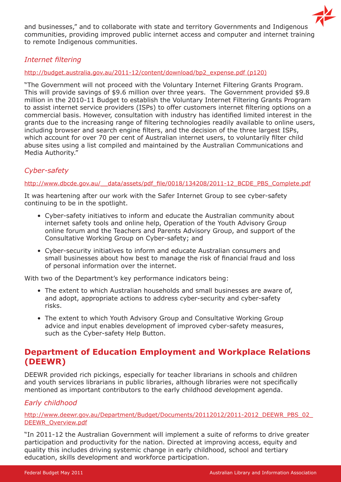

and businesses," and to collaborate with state and territory Governments and Indigenous communities, providing improved public internet access and computer and internet training to remote Indigenous communities.

# *Internet filtering*

#### [http://budget.australia.gov.au/2011-12/content/download/bp2\\_expense.pdf \(p120\)](http://budget.australia.gov.au/2011-12/content/download/bp2_expense.pdf (p120))

"The Government will not proceed with the Voluntary Internet Filtering Grants Program. This will provide savings of \$9.6 million over three years. The Government provided \$9.8 million in the 2010-11 Budget to establish the Voluntary Internet Filtering Grants Program to assist internet service providers (ISPs) to offer customers internet filtering options on a commercial basis. However, consultation with industry has identified limited interest in the grants due to the increasing range of filtering technologies readily available to online users, including browser and search engine filters, and the decision of the three largest ISPs, which account for over 70 per cent of Australian internet users, to voluntarily filter child abuse sites using a list compiled and maintained by the Australian Communications and Media Authority."

# *Cyber-safety*

#### http://www.dbcde.gov.au/ data/assets/pdf\_file/0018/134208/2011-12\_BCDE\_PBS\_Complete.pdf

It was heartening after our work with the Safer Internet Group to see cyber-safety continuing to be in the spotlight.

- Cyber-safety initiatives to inform and educate the Australian community about internet safety tools and online help, Operation of the Youth Advisory Group online forum and the Teachers and Parents Advisory Group, and support of the Consultative Working Group on Cyber-safety; and
- Cyber-security initiatives to inform and educate Australian consumers and small businesses about how best to manage the risk of financial fraud and loss of personal information over the internet.

With two of the Department's key performance indicators being:

- The extent to which Australian households and small businesses are aware of, and adopt, appropriate actions to address cyber-security and cyber-safety risks.
- The extent to which Youth Advisory Group and Consultative Working Group advice and input enables development of improved cyber-safety measures, such as the Cyber-safety Help Button.

# **Department of Education Employment and Workplace Relations (DEEWR)**

DEEWR provided rich pickings, especially for teacher librarians in schools and children and youth services librarians in public libraries, although libraries were not specifically mentioned as important contributors to the early childhood development agenda.

# *Early childhood*

[http://www.deewr.gov.au/Department/Budget/Documents/20112012/2011-2012\\_DEEWR\\_PBS\\_02\\_](http://www.deewr.gov.au/Department/Budget/Documents/20112012/2011-2012_DEEWR_PBS_02_DEEWR_Overview.pdf) [DEEWR\\_Overview.pdf](http://www.deewr.gov.au/Department/Budget/Documents/20112012/2011-2012_DEEWR_PBS_02_DEEWR_Overview.pdf)

"In 2011-12 the Australian Government will implement a suite of reforms to drive greater participation and productivity for the nation. Directed at improving access, equity and quality this includes driving systemic change in early childhood, school and tertiary education, skills development and workforce participation.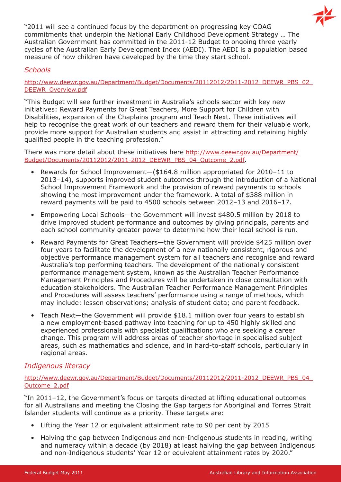

"2011 will see a continued focus by the department on progressing key COAG commitments that underpin the National Early Childhood Development Strategy … The Australian Government has committed in the 2011-12 Budget to ongoing three yearly cycles of the Australian Early Development Index (AEDI). The AEDI is a population based measure of how children have developed by the time they start school.

# *Schools*

[http://www.deewr.gov.au/Department/Budget/Documents/20112012/2011-2012\\_DEEWR\\_PBS\\_02\\_](http://www.deewr.gov.au/Department/Budget/Documents/20112012/2011-2012_DEEWR_PBS_02_DEEWR_Overview.pdf) [DEEWR\\_Overview.pdf](http://www.deewr.gov.au/Department/Budget/Documents/20112012/2011-2012_DEEWR_PBS_02_DEEWR_Overview.pdf)

"This Budget will see further investment in Australia's schools sector with key new initiatives: Reward Payments for Great Teachers, More Support for Children with Disabilities, expansion of the Chaplains program and Teach Next. These initiatives will help to recognise the great work of our teachers and reward them for their valuable work, provide more support for Australian students and assist in attracting and retaining highly qualified people in the teaching profession."

There was more detail about these initiatives here [http://www.deewr.gov.au/Department/](http://www.deewr.gov.au/Department/Budget/Documents/20112012/2011-2012_DEEWR_PBS_04_Outcome_2.pdf) [Budget/Documents/20112012/2011-2012\\_DEEWR\\_PBS\\_04\\_Outcome\\_2.pdf.](http://www.deewr.gov.au/Department/Budget/Documents/20112012/2011-2012_DEEWR_PBS_04_Outcome_2.pdf)

- Rewards for School Improvement—(\$164.8 million appropriated for 2010–11 to 2013–14), supports improved student outcomes through the introduction of a National School Improvement Framework and the provision of reward payments to schools showing the most improvement under the framework. A total of \$388 million in reward payments will be paid to 4500 schools between 2012–13 and 2016–17.
- Empowering Local Schools—the Government will invest \$480.5 million by 2018 to drive improved student performance and outcomes by giving principals, parents and each school community greater power to determine how their local school is run.
- Reward Payments for Great Teachers—the Government will provide \$425 million over four years to facilitate the development of a new nationally consistent, rigorous and objective performance management system for all teachers and recognise and reward Australia's top performing teachers. The development of the nationally consistent performance management system, known as the Australian Teacher Performance Management Principles and Procedures will be undertaken in close consultation with education stakeholders. The Australian Teacher Performance Management Principles and Procedures will assess teachers' performance using a range of methods, which may include: lesson observations; analysis of student data; and parent feedback.
- Teach Next—the Government will provide \$18.1 million over four years to establish a new employment-based pathway into teaching for up to 450 highly skilled and experienced professionals with specialist qualifications who are seeking a career change. This program will address areas of teacher shortage in specialised subject areas, such as mathematics and science, and in hard-to-staff schools, particularly in regional areas.

## *Indigenous literacy*

#### [http://www.deewr.gov.au/Department/Budget/Documents/20112012/2011-2012\\_DEEWR\\_PBS\\_04\\_](http://www.deewr.gov.au/Department/Budget/Documents/20112012/2011-2012_DEEWR_PBS_04_Outcome_2.pdf) [Outcome\\_2.pdf](http://www.deewr.gov.au/Department/Budget/Documents/20112012/2011-2012_DEEWR_PBS_04_Outcome_2.pdf)

"In 2011–12, the Government's focus on targets directed at lifting educational outcomes for all Australians and meeting the Closing the Gap targets for Aboriginal and Torres Strait Islander students will continue as a priority. These targets are:

- Lifting the Year 12 or equivalent attainment rate to 90 per cent by 2015
- Halving the gap between Indigenous and non-Indigenous students in reading, writing and numeracy within a decade (by 2018) at least halving the gap between Indigenous and non-Indigenous students' Year 12 or equivalent attainment rates by 2020."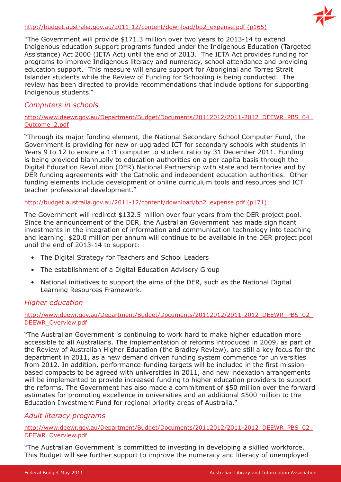#### [http://budget.australia.gov.au/2011-12/content/download/bp2\\_expense.pdf \(p165\)](http://budget.australia.gov.au/2011-12/content/download/bp2_expense.pdf (p165))



"The Government will provide \$171.3 million over two years to 2013-14 to extend Indigenous education support programs funded under the Indigenous Education (Targeted Assistance) Act 2000 (IETA Act) until the end of 2013. The IETA Act provides funding for programs to improve Indigenous literacy and numeracy, school attendance and providing education support. This measure will ensure support for Aboriginal and Torres Strait Islander students while the Review of Funding for Schooling is being conducted. The review has been directed to provide recommendations that include options for supporting Indigenous students."

# *Computers in schools*

#### [http://www.deewr.gov.au/Department/Budget/Documents/20112012/2011-2012\\_DEEWR\\_PBS\\_04\\_](http://www.deewr.gov.au/Department/Budget/Documents/20112012/2011-2012_DEEWR_PBS_04_Outcome_2.pdf) [Outcome\\_2.pdf](http://www.deewr.gov.au/Department/Budget/Documents/20112012/2011-2012_DEEWR_PBS_04_Outcome_2.pdf)

"Through its major funding element, the National Secondary School Computer Fund, the Government is providing for new or upgraded ICT for secondary schools with students in Years 9 to 12 to ensure a 1:1 computer to student ratio by 31 December 2011. Funding is being provided biannually to education authorities on a per capita basis through the Digital Education Revolution (DER) National Partnership with state and territories and by DER funding agreements with the Catholic and independent education authorities. Other funding elements include development of online curriculum tools and resources and ICT teacher professional development."

## [http://budget.australia.gov.au/2011-12/content/download/bp2\\_expense.pdf \(p171\)](http://budget.australia.gov.au/2011-12/content/download/bp2_expense.pdf (p171))

The Government will redirect \$132.5 million over four years from the DER project pool. Since the announcement of the DER, the Australian Government has made significant investments in the integration of information and communication technology into teaching and learning. \$20.0 million per annum will continue to be available in the DER project pool until the end of 2013-14 to support:

- The Digital Strategy for Teachers and School Leaders
- The establishment of a Digital Education Advisory Group
- National initiatives to support the aims of the DER, such as the National Digital Learning Resources Framework.

# *Higher education*

#### http://www.deewr.gov.au/Department/Budget/Documents/20112012/2011-2012\_DEEWR\_PBS\_02 [DEEWR\\_Overview.pdf](http://www.deewr.gov.au/Department/Budget/Documents/20112012/2011-2012_DEEWR_PBS_02_DEEWR_Overview.pdf)

"The Australian Government is continuing to work hard to make higher education more accessible to all Australians. The implementation of reforms introduced in 2009, as part of the Review of Australian Higher Education (the Bradley Review), are still a key focus for the department in 2011, as a new demand driven funding system commence for universities from 2012. In addition, performance-funding targets will be included in the first missionbased compacts to be agreed with universities in 2011, and new indexation arrangements will be implemented to provide increased funding to higher education providers to support the reforms. The Government has also made a commitment of \$50 million over the forward estimates for promoting excellence in universities and an additional \$500 million to the Education Investment Fund for regional priority areas of Australia."

## *Adult literacy programs*

[http://www.deewr.gov.au/Department/Budget/Documents/20112012/2011-2012\\_DEEWR\\_PBS\\_02\\_](http://www.deewr.gov.au/Department/Budget/Documents/20112012/2011-2012_DEEWR_PBS_02_DEEWR_Overview.pdf) [DEEWR\\_Overview.pdf](http://www.deewr.gov.au/Department/Budget/Documents/20112012/2011-2012_DEEWR_PBS_02_DEEWR_Overview.pdf)

"The Australian Government is committed to investing in developing a skilled workforce. This Budget will see further support to improve the numeracy and literacy of unemployed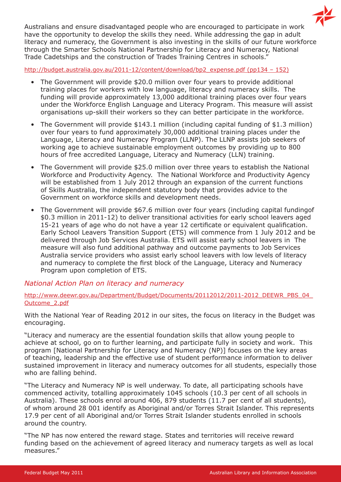$\mathbb{Z}^2$ Australians and ensure disadvantaged people who are encouraged to participate in work have the opportunity to develop the skills they need. While addressing the gap in adult literacy and numeracy, the Government is also investing in the skills of our future workforce through the Smarter Schools National Partnership for Literacy and Numeracy, National Trade Cadetships and the construction of Trades Training Centres in schools."

[http://budget.australia.gov.au/2011-12/content/download/bp2\\_expense.pdf \(pp134 – 152\)](http://budget.australia.gov.au/2011-12/content/download/bp2_expense.pdf (pp134 � 152))

- The Government will provide \$20.0 million over four years to provide additional training places for workers with low language, literacy and numeracy skills. The funding will provide approximately 13,000 additional training places over four years under the Workforce English Language and Literacy Program. This measure will assist organisations up-skill their workers so they can better participate in the workforce.
- The Government will provide \$143.1 million (including capital funding of \$1.3 million) over four years to fund approximately 30,000 additional training places under the Language, Literacy and Numeracy Program (LLNP). The LLNP assists job seekers of working age to achieve sustainable employment outcomes by providing up to 800 hours of free accredited Language, Literacy and Numeracy (LLN) training.
- The Government will provide \$25.0 million over three years to establish the National Workforce and Productivity Agency. The National Workforce and Productivity Agency will be established from 1 July 2012 through an expansion of the current functions of Skills Australia, the independent statutory body that provides advice to the Government on workforce skills and development needs.
- The Government will provide \$67.6 million over four years (including capital fundingof \$0.3 million in 2011-12) to deliver transitional activities for early school leavers aged 15-21 years of age who do not have a year 12 certificate or equivalent qualification. Early School Leavers Transition Support (ETS) will commence from 1 July 2012 and be delivered through Job Services Australia. ETS will assist early school leavers in The measure will also fund additional pathway and outcome payments to Job Services Australia service providers who assist early school leavers with low levels of literacy and numeracy to complete the first block of the Language, Literacy and Numeracy Program upon completion of ETS.

## *National Action Plan on literacy and numeracy*

#### [http://www.deewr.gov.au/Department/Budget/Documents/20112012/2011-2012\\_DEEWR\\_PBS\\_04\\_](http://www.deewr.gov.au/Department/Budget/Documents/20112012/2011-2012_DEEWR_PBS_04_Outcome_2.pdf) [Outcome\\_2.pdf](http://www.deewr.gov.au/Department/Budget/Documents/20112012/2011-2012_DEEWR_PBS_04_Outcome_2.pdf)

With the National Year of Reading 2012 in our sites, the focus on literacy in the Budget was encouraging.

"Literacy and numeracy are the essential foundation skills that allow young people to achieve at school, go on to further learning, and participate fully in society and work. This program [National Partnership for Literacy and Numeracy (NP)] focuses on the key areas of teaching, leadership and the effective use of student performance information to deliver sustained improvement in literacy and numeracy outcomes for all students, especially those who are falling behind.

"The Literacy and Numeracy NP is well underway. To date, all participating schools have commenced activity, totalling approximately 1045 schools (10.3 per cent of all schools in Australia). These schools enrol around 406, 879 students (11.7 per cent of all students), of whom around 28 001 identify as Aboriginal and/or Torres Strait Islander. This represents 17.9 per cent of all Aboriginal and/or Torres Strait Islander students enrolled in schools around the country.

"The NP has now entered the reward stage. States and territories will receive reward funding based on the achievement of agreed literacy and numeracy targets as well as local measures."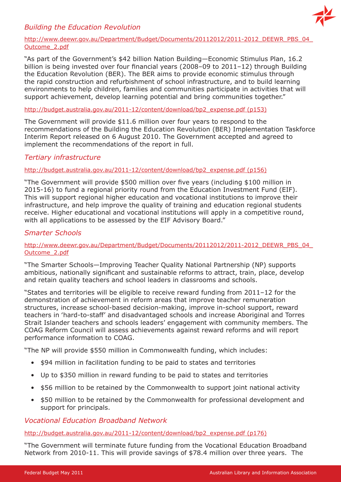# *Building the Education Revolution*



#### [http://www.deewr.gov.au/Department/Budget/Documents/20112012/2011-2012\\_DEEWR\\_PBS\\_04\\_](http://www.deewr.gov.au/Department/Budget/Documents/20112012/2011-2012_DEEWR_PBS_04_Outcome_2.pdf) [Outcome\\_2.pdf](http://www.deewr.gov.au/Department/Budget/Documents/20112012/2011-2012_DEEWR_PBS_04_Outcome_2.pdf)

"As part of the Government's \$42 billion Nation Building—Economic Stimulus Plan, 16.2 billion is being invested over four financial years (2008–09 to 2011–12) through Building the Education Revolution (BER). The BER aims to provide economic stimulus through the rapid construction and refurbishment of school infrastructure, and to build learning environments to help children, families and communities participate in activities that will support achievement, develop learning potential and bring communities together."

#### [http://budget.australia.gov.au/2011-12/content/download/bp2\\_expense.pdf \(p153\)](http://budget.australia.gov.au/2011-12/content/download/bp2_expense.pdf (p153))

The Government will provide \$11.6 million over four years to respond to the recommendations of the Building the Education Revolution (BER) Implementation Taskforce Interim Report released on 6 August 2010. The Government accepted and agreed to implement the recommendations of the report in full.

# *Tertiary infrastructure*

## [http://budget.australia.gov.au/2011-12/content/download/bp2\\_expense.pdf \(p156\)](http://budget.australia.gov.au/2011-12/content/download/bp2_expense.pdf (p156))

"The Government will provide \$500 million over five years (including \$100 million in 2015-16) to fund a regional priority round from the Education Investment Fund (EIF). This will support regional higher education and vocational institutions to improve their infrastructure, and help improve the quality of training and education regional students receive. Higher educational and vocational institutions will apply in a competitive round, with all applications to be assessed by the EIF Advisory Board."

# *Smarter Schools*

#### [http://www.deewr.gov.au/Department/Budget/Documents/20112012/2011-2012\\_DEEWR\\_PBS\\_04\\_](http://www.deewr.gov.au/Department/Budget/Documents/20112012/2011-2012_DEEWR_PBS_04_Outcome_2.pdf) [Outcome\\_2.pdf](http://www.deewr.gov.au/Department/Budget/Documents/20112012/2011-2012_DEEWR_PBS_04_Outcome_2.pdf)

"The Smarter Schools—Improving Teacher Quality National Partnership (NP) supports ambitious, nationally significant and sustainable reforms to attract, train, place, develop and retain quality teachers and school leaders in classrooms and schools.

"States and territories will be eligible to receive reward funding from 2011–12 for the demonstration of achievement in reform areas that improve teacher remuneration structures, increase school-based decision-making, improve in-school support, reward teachers in 'hard-to-staff' and disadvantaged schools and increase Aboriginal and Torres Strait Islander teachers and schools leaders' engagement with community members. The COAG Reform Council will assess achievements against reward reforms and will report performance information to COAG.

"The NP will provide \$550 million in Commonwealth funding, which includes:

- \$94 million in facilitation funding to be paid to states and territories
- Up to \$350 million in reward funding to be paid to states and territories
- \$56 million to be retained by the Commonwealth to support joint national activity
- \$50 million to be retained by the Commonwealth for professional development and support for principals.

*Vocational Education Broadband Network*

[http://budget.australia.gov.au/2011-12/content/download/bp2\\_expense.pdf \(p176\)](http://budget.australia.gov.au/2011-12/content/download/bp2_expense.pdf (p176))

"The Government will terminate future funding from the Vocational Education Broadband Network from 2010-11. This will provide savings of \$78.4 million over three years. The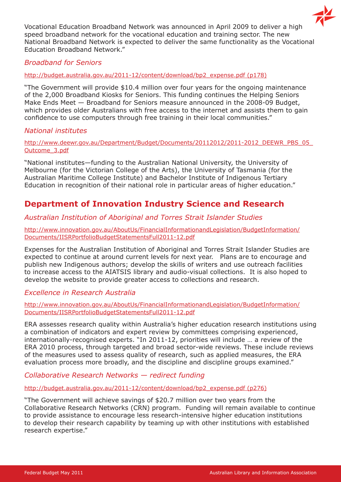

Vocational Education Broadband Network was announced in April 2009 to deliver a high speed broadband network for the vocational education and training sector. The new National Broadband Network is expected to deliver the same functionality as the Vocational Education Broadband Network."

*Broadband for Seniors*

[http://budget.australia.gov.au/2011-12/content/download/bp2\\_expense.pdf \(p178\)](http://budget.australia.gov.au/2011-12/content/download/bp2_expense.pdf (p178))

"The Government will provide \$10.4 million over four years for the ongoing maintenance of the 2,000 Broadband Kiosks for Seniors. This funding continues the Helping Seniors Make Ends Meet — Broadband for Seniors measure announced in the 2008-09 Budget, which provides older Australians with free access to the internet and assists them to gain confidence to use computers through free training in their local communities."

## *National institutes*

[http://www.deewr.gov.au/Department/Budget/Documents/20112012/2011-2012\\_DEEWR\\_PBS\\_05\\_](http://www.deewr.gov.au/Department/Budget/Documents/20112012/2011-2012_DEEWR_PBS_05_Outcome_3.pdf) [Outcome\\_3.pdf](http://www.deewr.gov.au/Department/Budget/Documents/20112012/2011-2012_DEEWR_PBS_05_Outcome_3.pdf)

"National institutes—funding to the Australian National University, the University of Melbourne (for the Victorian College of the Arts), the University of Tasmania (for the Australian Maritime College Institute) and Bachelor Institute of Indigenous Tertiary Education in recognition of their national role in particular areas of higher education."

# **Department of Innovation Industry Science and Research**

# *Australian Institution of Aboriginal and Torres Strait Islander Studies*

[http://www.innovation.gov.au/AboutUs/FinancialInformationandLegislation/BudgetInformation/](http://www.innovation.gov.au/AboutUs/FinancialInformationandLegislation/BudgetInformation/Documents/IISRPortfolioBudgetStatementsFull2011-12.pdf) [Documents/IISRPortfolioBudgetStatementsFull2011-12.pdf](http://www.innovation.gov.au/AboutUs/FinancialInformationandLegislation/BudgetInformation/Documents/IISRPortfolioBudgetStatementsFull2011-12.pdf)

Expenses for the Australian Institution of Aboriginal and Torres Strait Islander Studies are expected to continue at around current levels for next year. Plans are to encourage and publish new Indigenous authors; develop the skills of writers and use outreach facilities to increase access to the AIATSIS library and audio-visual collections. It is also hoped to develop the website to provide greater access to collections and research.

# *Excellence in Research Australia*

[http://www.innovation.gov.au/AboutUs/FinancialInformationandLegislation/BudgetInformation/](http://www.innovation.gov.au/AboutUs/FinancialInformationandLegislation/BudgetInformation/Documents/IISRPortfolioBudgetStatementsFull2011-12.pdf) [Documents/IISRPortfolioBudgetStatementsFull2011-12.pdf](http://www.innovation.gov.au/AboutUs/FinancialInformationandLegislation/BudgetInformation/Documents/IISRPortfolioBudgetStatementsFull2011-12.pdf)

ERA assesses research quality within Australia's higher education research institutions using a combination of indicators and expert review by committees comprising experienced, internationally-recognised experts. "In 2011-12, priorities will include … a review of the ERA 2010 process, through targeted and broad sector-wide reviews. These include reviews of the measures used to assess quality of research, such as applied measures, the ERA evaluation process more broadly, and the discipline and discipline groups examined."

# *Collaborative Research Networks — redirect funding*

[http://budget.australia.gov.au/2011-12/content/download/bp2\\_expense.pdf \(p276\)](http://budget.australia.gov.au/2011-12/content/download/bp2_expense.pdf (p276))

"The Government will achieve savings of \$20.7 million over two years from the Collaborative Research Networks (CRN) program. Funding will remain available to continue to provide assistance to encourage less research-intensive higher education institutions to develop their research capability by teaming up with other institutions with established research expertise."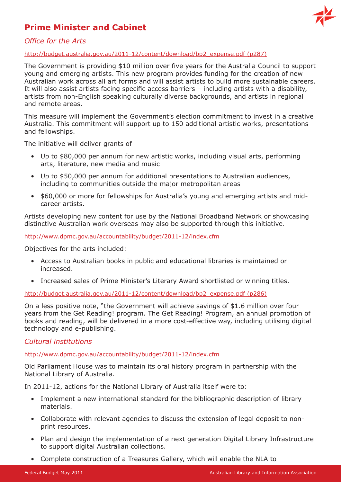# **Prime Minister and Cabinet**



# *Office for the Arts*

#### [http://budget.australia.gov.au/2011-12/content/download/bp2\\_expense.pdf \(p287\)](http://budget.australia.gov.au/2011-12/content/download/bp2_expense.pdf (p287))

The Government is providing \$10 million over five years for the Australia Council to support young and emerging artists. This new program provides funding for the creation of new Australian work across all art forms and will assist artists to build more sustainable careers. It will also assist artists facing specific access barriers – including artists with a disability, artists from non-English speaking culturally diverse backgrounds, and artists in regional and remote areas.

This measure will implement the Government's election commitment to invest in a creative Australia. This commitment will support up to 150 additional artistic works, presentations and fellowships.

The initiative will deliver grants of

- Up to \$80,000 per annum for new artistic works, including visual arts, performing arts, literature, new media and music
- Up to \$50,000 per annum for additional presentations to Australian audiences, including to communities outside the major metropolitan areas
- \$60,000 or more for fellowships for Australia's young and emerging artists and midcareer artists.

Artists developing new content for use by the National Broadband Network or showcasing distinctive Australian work overseas may also be supported through this initiative.

<http://www.dpmc.gov.au/accountability/budget/2011-12/index.cfm>

Objectives for the arts included:

- Access to Australian books in public and educational libraries is maintained or increased.
- Increased sales of Prime Minister's Literary Award shortlisted or winning titles.

[http://budget.australia.gov.au/2011-12/content/download/bp2\\_expense.pdf \(p286\)](http://budget.australia.gov.au/2011-12/content/download/bp2_expense.pdf (p286))

On a less positive note, "the Government will achieve savings of \$1.6 million over four years from the Get Reading! program. The Get Reading! Program, an annual promotion of books and reading, will be delivered in a more cost-effective way, including utilising digital technology and e-publishing.

## *Cultural institutions*

<http://www.dpmc.gov.au/accountability/budget/2011-12/index.cfm>

Old Parliament House was to maintain its oral history program in partnership with the National Library of Australia.

In 2011-12, actions for the National Library of Australia itself were to:

- Implement a new international standard for the bibliographic description of library materials.
- Collaborate with relevant agencies to discuss the extension of legal deposit to nonprint resources.
- Plan and design the implementation of a next generation Digital Library Infrastructure to support digital Australian collections.
- Complete construction of a Treasures Gallery, which will enable the NLA to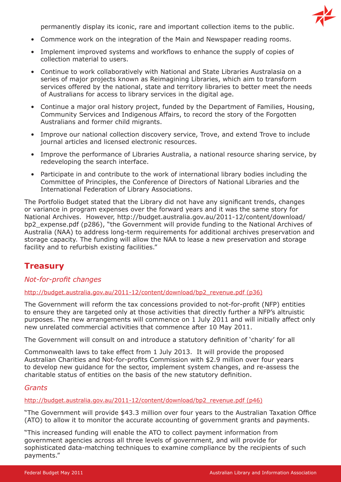

permanently display its iconic, rare and important collection items to the public.

- Commence work on the integration of the Main and Newspaper reading rooms.
- Implement improved systems and workflows to enhance the supply of copies of collection material to users.
- Continue to work collaboratively with National and State Libraries Australasia on a series of major projects known as Reimagining Libraries, which aim to transform services offered by the national, state and territory libraries to better meet the needs of Australians for access to library services in the digital age.
- Continue a major oral history project, funded by the Department of Families, Housing, Community Services and Indigenous Affairs, to record the story of the Forgotten Australians and former child migrants.
- Improve our national collection discovery service, Trove, and extend Trove to include journal articles and licensed electronic resources.
- Improve the performance of Libraries Australia, a national resource sharing service, by redeveloping the search interface.
- Participate in and contribute to the work of international library bodies including the Committee of Principles, the Conference of Directors of National Libraries and the International Federation of Library Associations.

The Portfolio Budget stated that the Library did not have any significant trends, changes or variance in program expenses over the forward years and it was the same story for National Archives. However, http://budget.australia.gov.au/2011-12/content/download/ bp2\_expense.pdf (p286), "the Government will provide funding to the National Archives of Australia (NAA) to address long-term requirements for additional archives preservation and storage capacity. The funding will allow the NAA to lease a new preservation and storage facility and to refurbish existing facilities."

# **Treasury**

#### *Not-for-profit changes*

#### [http://budget.australia.gov.au/2011-12/content/download/bp2\\_revenue.pdf \(p36\)](http://budget.australia.gov.au/2011-12/content/download/bp2_revenue.pdf (p36))

The Government will reform the tax concessions provided to not-for-profit (NFP) entities to ensure they are targeted only at those activities that directly further a NFP's altruistic purposes. The new arrangements will commence on 1 July 2011 and will initially affect only new unrelated commercial activities that commence after 10 May 2011.

The Government will consult on and introduce a statutory definition of 'charity' for all

Commonwealth laws to take effect from 1 July 2013. It will provide the proposed Australian Charities and Not-for-profits Commission with \$2.9 million over four years to develop new guidance for the sector, implement system changes, and re-assess the charitable status of entities on the basis of the new statutory definition.

#### *Grants*

#### [http://budget.australia.gov.au/2011-12/content/download/bp2\\_revenue.pdf \(p46\)](http://budget.australia.gov.au/2011-12/content/download/bp2_revenue.pdf (p46))

"The Government will provide \$43.3 million over four years to the Australian Taxation Office (ATO) to allow it to monitor the accurate accounting of government grants and payments.

"This increased funding will enable the ATO to collect payment information from government agencies across all three levels of government, and will provide for sophisticated data-matching techniques to examine compliance by the recipients of such payments."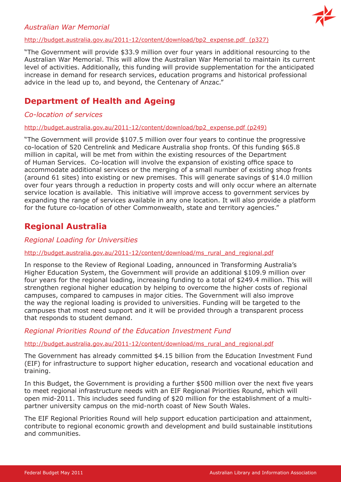## *Australian War Memorial*



#### [http://budget.australia.gov.au/2011-12/content/download/bp2\\_expense.pdf \(p327\)](http://budget.australia.gov.au/2011-12/content/download/bp2_expense.pdf  (p327))

"The Government will provide \$33.9 million over four years in additional resourcing to the Australian War Memorial. This will allow the Australian War Memorial to maintain its current level of activities. Additionally, this funding will provide supplementation for the anticipated increase in demand for research services, education programs and historical professional advice in the lead up to, and beyond, the Centenary of Anzac."

# **Department of Health and Ageing**

## *Co-location of services*

[http://budget.australia.gov.au/2011-12/content/download/bp2\\_expense.pdf \(p249\)](http://budget.australia.gov.au/2011-12/content/download/bp2_expense.pdf (p249))

"The Government will provide \$107.5 million over four years to continue the progressive co-location of 520 Centrelink and Medicare Australia shop fronts. Of this funding \$65.8 million in capital, will be met from within the existing resources of the Department of Human Services. Co-location will involve the expansion of existing office space to accommodate additional services or the merging of a small number of existing shop fronts (around 61 sites) into existing or new premises. This will generate savings of \$14.0 million over four years through a reduction in property costs and will only occur where an alternate service location is available. This initiative will improve access to government services by expanding the range of services available in any one location. It will also provide a platform for the future co-location of other Commonwealth, state and territory agencies."

# **Regional Australia**

## *Regional Loading for Universities*

#### [http://budget.australia.gov.au/2011-12/content/download/ms\\_rural\\_and\\_regional.pdf](http://budget.australia.gov.au/2011-12/content/download/ms_rural_and_regional.pdf)

In response to the Review of Regional Loading, announced in Transforming Australia's Higher Education System, the Government will provide an additional \$109.9 million over four years for the regional loading, increasing funding to a total of \$249.4 million. This will strengthen regional higher education by helping to overcome the higher costs of regional campuses, compared to campuses in major cities. The Government will also improve the way the regional loading is provided to universities. Funding will be targeted to the campuses that most need support and it will be provided through a transparent process that responds to student demand.

## *Regional Priorities Round of the Education Investment Fund*

#### [http://budget.australia.gov.au/2011-12/content/download/ms\\_rural\\_and\\_regional.pdf](http://budget.australia.gov.au/2011-12/content/download/ms_rural_and_regional.pdf)

The Government has already committed \$4.15 billion from the Education Investment Fund (EIF) for infrastructure to support higher education, research and vocational education and training.

In this Budget, the Government is providing a further \$500 million over the next five years to meet regional infrastructure needs with an EIF Regional Priorities Round, which will open mid-2011. This includes seed funding of \$20 million for the establishment of a multipartner university campus on the mid-north coast of New South Wales.

The EIF Regional Priorities Round will help support education participation and attainment, contribute to regional economic growth and development and build sustainable institutions and communities.